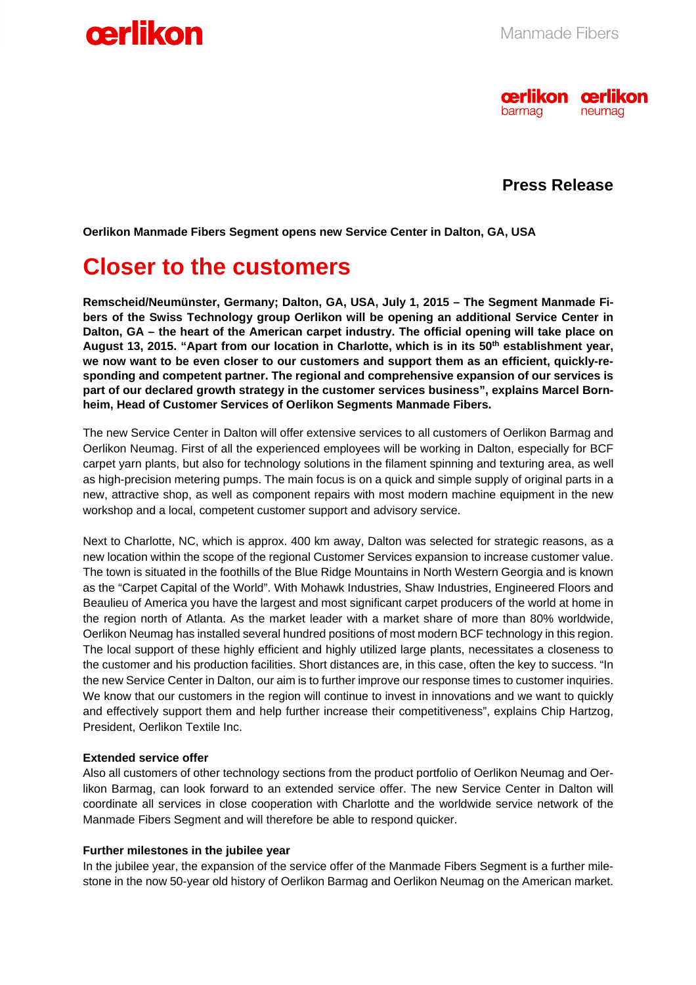



# **Press Release**

**Oerlikon Manmade Fibers Segment opens new Service Center in Dalton, GA, USA** 

# **Closer to the customers**

**Remscheid/Neumünster, Germany; Dalton, GA, USA, July 1, 2015 – The Segment Manmade Fibers of the Swiss Technology group Oerlikon will be opening an additional Service Center in Dalton, GA – the heart of the American carpet industry. The official opening will take place on**  August 13, 2015. "Apart from our location in Charlotte, which is in its 50<sup>th</sup> establishment year, **we now want to be even closer to our customers and support them as an efficient, quickly-responding and competent partner. The regional and comprehensive expansion of our services is part of our declared growth strategy in the customer services business", explains Marcel Bornheim, Head of Customer Services of Oerlikon Segments Manmade Fibers.** 

The new Service Center in Dalton will offer extensive services to all customers of Oerlikon Barmag and Oerlikon Neumag. First of all the experienced employees will be working in Dalton, especially for BCF carpet yarn plants, but also for technology solutions in the filament spinning and texturing area, as well as high-precision metering pumps. The main focus is on a quick and simple supply of original parts in a new, attractive shop, as well as component repairs with most modern machine equipment in the new workshop and a local, competent customer support and advisory service.

Next to Charlotte, NC, which is approx. 400 km away, Dalton was selected for strategic reasons, as a new location within the scope of the regional Customer Services expansion to increase customer value. The town is situated in the foothills of the Blue Ridge Mountains in North Western Georgia and is known as the "Carpet Capital of the World". With Mohawk Industries, Shaw Industries, Engineered Floors and Beaulieu of America you have the largest and most significant carpet producers of the world at home in the region north of Atlanta. As the market leader with a market share of more than 80% worldwide, Oerlikon Neumag has installed several hundred positions of most modern BCF technology in this region. The local support of these highly efficient and highly utilized large plants, necessitates a closeness to the customer and his production facilities. Short distances are, in this case, often the key to success. "In the new Service Center in Dalton, our aim is to further improve our response times to customer inquiries. We know that our customers in the region will continue to invest in innovations and we want to quickly and effectively support them and help further increase their competitiveness", explains Chip Hartzog, President, Oerlikon Textile Inc.

## **Extended service offer**

Also all customers of other technology sections from the product portfolio of Oerlikon Neumag and Oerlikon Barmag, can look forward to an extended service offer. The new Service Center in Dalton will coordinate all services in close cooperation with Charlotte and the worldwide service network of the Manmade Fibers Segment and will therefore be able to respond quicker.

#### **Further milestones in the jubilee year**

In the jubilee year, the expansion of the service offer of the Manmade Fibers Segment is a further milestone in the now 50-year old history of Oerlikon Barmag and Oerlikon Neumag on the American market.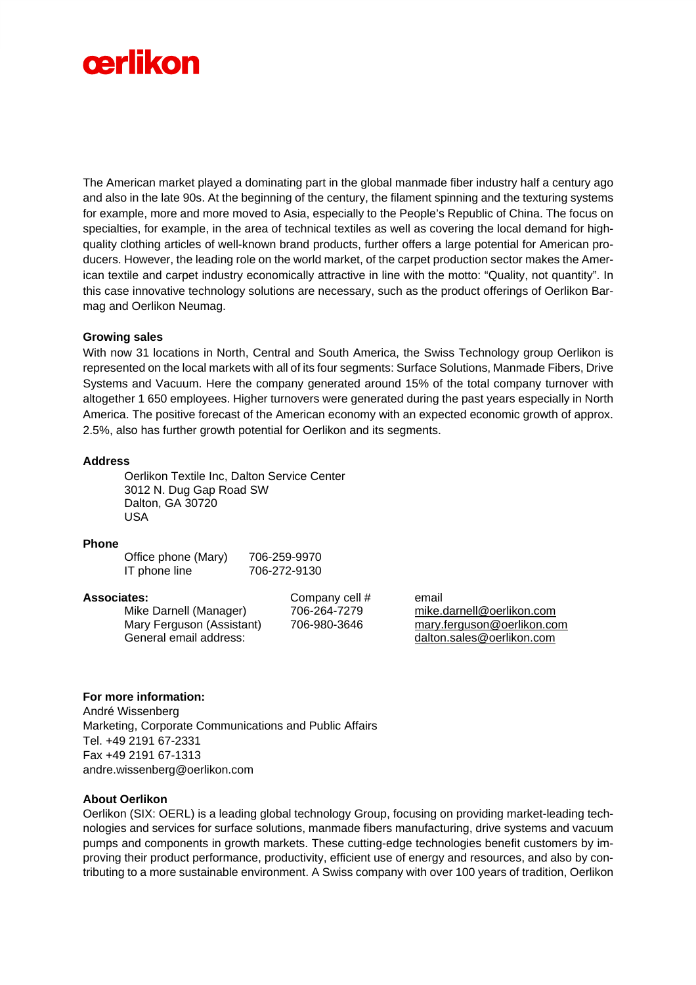

The American market played a dominating part in the global manmade fiber industry half a century ago and also in the late 90s. At the beginning of the century, the filament spinning and the texturing systems for example, more and more moved to Asia, especially to the People's Republic of China. The focus on specialties, for example, in the area of technical textiles as well as covering the local demand for highquality clothing articles of well-known brand products, further offers a large potential for American producers. However, the leading role on the world market, of the carpet production sector makes the American textile and carpet industry economically attractive in line with the motto: "Quality, not quantity". In this case innovative technology solutions are necessary, such as the product offerings of Oerlikon Barmag and Oerlikon Neumag.

#### **Growing sales**

With now 31 locations in North, Central and South America, the Swiss Technology group Oerlikon is represented on the local markets with all of its four segments: Surface Solutions, Manmade Fibers, Drive Systems and Vacuum. Here the company generated around 15% of the total company turnover with altogether 1 650 employees. Higher turnovers were generated during the past years especially in North America. The positive forecast of the American economy with an expected economic growth of approx. 2.5%, also has further growth potential for Oerlikon and its segments.

#### **Address**

Oerlikon Textile Inc, Dalton Service Center 3012 N. Dug Gap Road SW Dalton, GA 30720 USA

#### **Phone**

| Office phone (Mary) | 706-259-9970 |
|---------------------|--------------|
| IT phone line       | 706-272-9130 |

#### **Associates:** Company cell # email

Mike Darnell (Manager) 706-264-7279 mike.darnell@oerlikon.com General email address: dalton.sales@oerlikon.com

Mary Ferguson (Assistant) 706-980-3646 mary.ferguson@oerlikon.com

### **For more information:**

André Wissenberg Marketing, Corporate Communications and Public Affairs Tel. +49 2191 67-2331 Fax +49 2191 67-1313 andre.wissenberg@oerlikon.com

# **About Oerlikon**

Oerlikon (SIX: OERL) is a leading global technology Group, focusing on providing market-leading technologies and services for surface solutions, manmade fibers manufacturing, drive systems and vacuum pumps and components in growth markets. These cutting-edge technologies benefit customers by improving their product performance, productivity, efficient use of energy and resources, and also by contributing to a more sustainable environment. A Swiss company with over 100 years of tradition, Oerlikon